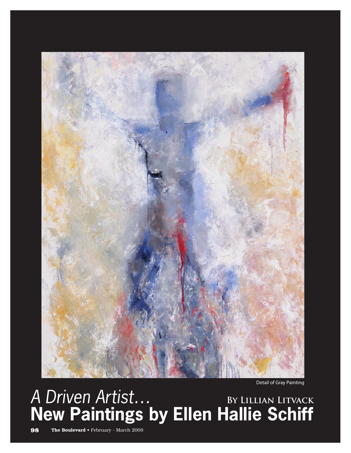

Detail of Gray Painting

## A Driven Artist… **New Paintings by Ellen Hallie Schiff By Lillian Litvack**